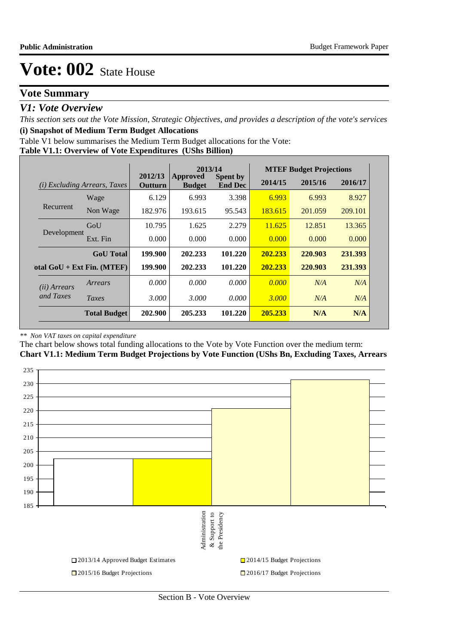# **Vote Summary**

## *V1: Vote Overview*

*This section sets out the Vote Mission, Strategic Objectives, and provides a description of the vote's services* **(i) Snapshot of Medium Term Budget Allocations** 

Table V1 below summarises the Medium Term Budget allocations for the Vote:

#### **Table V1.1: Overview of Vote Expenditures (UShs Billion)**

|                       |                              |                    | 2013/14                   |                                   |         | <b>MTEF Budget Projections</b> |         |
|-----------------------|------------------------------|--------------------|---------------------------|-----------------------------------|---------|--------------------------------|---------|
| (i)                   | Excluding Arrears, Taxes     | 2012/13<br>Outturn | Approved<br><b>Budget</b> | <b>Spent by</b><br><b>End Dec</b> | 2014/15 | 2015/16                        | 2016/17 |
|                       | Wage                         | 6.129              | 6.993                     | 3.398                             | 6.993   | 6.993                          | 8.927   |
| Recurrent             | Non Wage                     | 182.976            | 193.615                   | 95.543                            | 183.615 | 201.059                        | 209.101 |
| Development           | GoU                          | 10.795             | 1.625                     | 2.279                             | 11.625  | 12.851                         | 13.365  |
|                       | Ext. Fin                     | 0.000              | 0.000                     | 0.000                             | 0.000   | 0.000                          | 0.000   |
|                       | <b>GoU</b> Total             | 199.900            | 202.233                   | 101.220                           | 202.233 | 220.903                        | 231.393 |
|                       | otal $GoU + Ext Fin. (MTEF)$ | 199.900            | 202.233                   | 101.220                           | 202.233 | 220.903                        | 231.393 |
| ( <i>ii</i> ) Arrears | Arrears                      | 0.000              | 0.000                     | 0.000                             | 0.000   | N/A                            | N/A     |
| and Taxes             | Taxes                        | 3.000              | 3.000                     | 0.000                             | 3.000   | N/A                            | N/A     |
|                       | <b>Total Budget</b>          | 202.900            | 205.233                   | 101.220                           | 205.233 | N/A                            | N/A     |

#### *\*\* Non VAT taxes on capital expenditure*

The chart below shows total funding allocations to the Vote by Vote Function over the medium term: **Chart V1.1: Medium Term Budget Projections by Vote Function (UShs Bn, Excluding Taxes, Arrears**

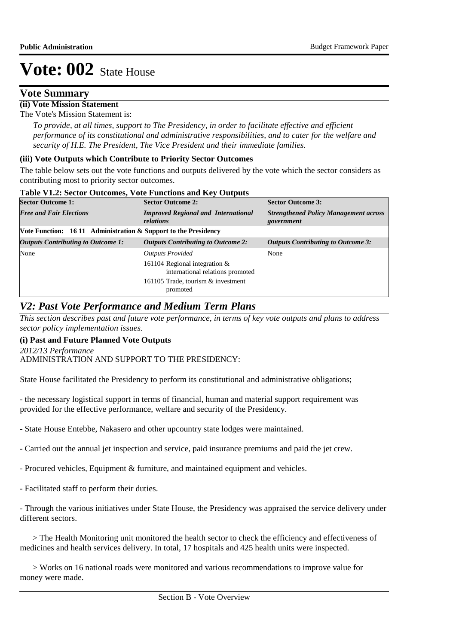## **Vote Summary**

# **(ii) Vote Mission Statement**

The Vote's Mission Statement is:

*To provide, at all times, support to The Presidency, in order to facilitate effective and efficient performance of its constitutional and administrative responsibilities, and to cater for the welfare and security of H.E. The President, The Vice President and their immediate families.*

### **(iii) Vote Outputs which Contribute to Priority Sector Outcomes**

The table below sets out the vote functions and outputs delivered by the vote which the sector considers as contributing most to priority sector outcomes.

|  | Table V1.2: Sector Outcomes, Vote Functions and Key Outputs |
|--|-------------------------------------------------------------|
|--|-------------------------------------------------------------|

| <b>Sector Outcome 1:</b>                                        | <b>Sector Outcome 2:</b>                                            | <b>Sector Outcome 3:</b>                                   |
|-----------------------------------------------------------------|---------------------------------------------------------------------|------------------------------------------------------------|
| <b>Free and Fair Elections</b>                                  | <b>Improved Regional and International</b><br>relations             | <b>Strengthened Policy Management across</b><br>government |
| Vote Function: 16 11 Administration & Support to the Presidency |                                                                     |                                                            |
| <b>Outputs Contributing to Outcome 1:</b>                       | <b>Outputs Contributing to Outcome 2:</b>                           | <b>Outputs Contributing to Outcome 3:</b>                  |
| None                                                            | <b>Outputs Provided</b>                                             | None                                                       |
|                                                                 | 161104 Regional integration $&$<br>international relations promoted |                                                            |
|                                                                 | 161105 Trade, tourism & investment<br>promoted                      |                                                            |

# *V2: Past Vote Performance and Medium Term Plans*

*This section describes past and future vote performance, in terms of key vote outputs and plans to address sector policy implementation issues.* 

## **(i) Past and Future Planned Vote Outputs**

ADMINISTRATION AND SUPPORT TO THE PRESIDENCY: *2012/13 Performance*

State House facilitated the Presidency to perform its constitutional and administrative obligations;

- the necessary logistical support in terms of financial, human and material support requirement was provided for the effective performance, welfare and security of the Presidency.

- State House Entebbe, Nakasero and other upcountry state lodges were maintained.

- Carried out the annual jet inspection and service, paid insurance premiums and paid the jet crew.
- Procured vehicles, Equipment & furniture, and maintained equipment and vehicles.
- Facilitated staff to perform their duties.

- Through the various initiatives under State House, the Presidency was appraised the service delivery under different sectors.

 > The Health Monitoring unit monitored the health sector to check the efficiency and effectiveness of medicines and health services delivery. In total, 17 hospitals and 425 health units were inspected.

 > Works on 16 national roads were monitored and various recommendations to improve value for money were made.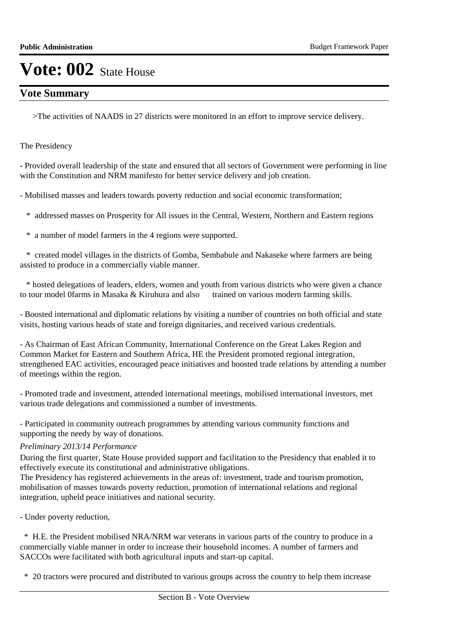# **Vote Summary**

>The activities of NAADS in 27 districts were monitored in an effort to improve service delivery.

The Presidency

- Provided overall leadership of the state and ensured that all sectors of Government were performing in line with the Constitution and NRM manifesto for better service delivery and job creation.

- Mobilised masses and leaders towards poverty reduction and social economic transformation;

\* addressed masses on Prosperity for All issues in the Central, Western, Northern and Eastern regions

\* a number of model farmers in the 4 regions were supported.

 \* created model villages in the districts of Gomba, Sembabule and Nakaseke where farmers are being assisted to produce in a commercially viable manner.

 \* hosted delegations of leaders, elders, women and youth from various districts who were given a chance to tour model 0farms in Masaka & Kiruhura and also trained on various modern farming skills.

- Boosted international and diplomatic relations by visiting a number of countries on both official and state visits, hosting various heads of state and foreign dignitaries, and received various credentials.

- As Chairman of East African Community, International Conference on the Great Lakes Region and Common Market for Eastern and Southern Africa, HE the President promoted regional integration, strengthened EAC activities, encouraged peace initiatives and boosted trade relations by attending a number of meetings within the region.

- Promoted trade and investment, attended international meetings, mobilised international investors, met various trade delegations and commissioned a number of investments.

- Participated in community outreach programmes by attending various community functions and supporting the needy by way of donations.

## *Preliminary 2013/14 Performance*

During the first quarter, State House provided support and facilitation to the Presidency that enabled it to effectively execute its constitutional and administrative obligations.

The Presidency has registered achievements in the areas of: investment, trade and tourism promotion, mobilisation of masses towards poverty reduction, promotion of international relations and regional integration, upheld peace initiatives and national security.

- Under poverty reduction,

 \* H.E. the President mobilised NRA/NRM war veterans in various parts of the country to produce in a commercially viable manner in order to increase their household incomes. A number of farmers and SACCOs were facilitated with both agricultural inputs and start-up capital.

\* 20 tractors were procured and distributed to various groups across the country to help them increase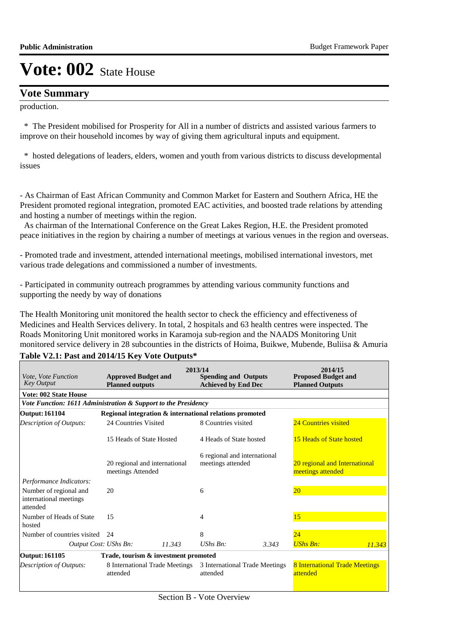## **Vote Summary**

production.

 \* The President mobilised for Prosperity for All in a number of districts and assisted various farmers to improve on their household incomes by way of giving them agricultural inputs and equipment.

 \* hosted delegations of leaders, elders, women and youth from various districts to discuss developmental issues

- As Chairman of East African Community and Common Market for Eastern and Southern Africa, HE the President promoted regional integration, promoted EAC activities, and boosted trade relations by attending and hosting a number of meetings within the region.

 As chairman of the International Conference on the Great Lakes Region, H.E. the President promoted peace initiatives in the region by chairing a number of meetings at various venues in the region and overseas.

- Promoted trade and investment, attended international meetings, mobilised international investors, met various trade delegations and commissioned a number of investments.

- Participated in community outreach programmes by attending various community functions and supporting the needy by way of donations

The Health Monitoring unit monitored the health sector to check the efficiency and effectiveness of Medicines and Health Services delivery. In total, 2 hospitals and 63 health centres were inspected. The Roads Monitoring Unit monitored works in Karamoja sub-region and the NAADS Monitoring Unit monitored service delivery in 28 subcounties in the districts of Hoima, Buikwe, Mubende, Buliisa & Amuria

| <i>Vote, Vote Function</i><br><b>Key Output</b>                | <b>Approved Budget and</b><br><b>Planned outputs</b> |                                                         | 2013/14<br><b>Spending and Outputs</b><br><b>Achieved by End Dec</b> |                                | 2014/15<br><b>Proposed Budget and</b><br><b>Planned Outputs</b> |        |  |
|----------------------------------------------------------------|------------------------------------------------------|---------------------------------------------------------|----------------------------------------------------------------------|--------------------------------|-----------------------------------------------------------------|--------|--|
| <b>Vote: 002 State House</b>                                   |                                                      |                                                         |                                                                      |                                |                                                                 |        |  |
| Vote Function: 1611 Administration & Support to the Presidency |                                                      |                                                         |                                                                      |                                |                                                                 |        |  |
| Output: 161104                                                 |                                                      | Regional integration & international relations promoted |                                                                      |                                |                                                                 |        |  |
| <b>Description of Outputs:</b>                                 | 24 Countries Visited                                 |                                                         | 8 Countries visited                                                  |                                | 24 Countries visited                                            |        |  |
|                                                                | 15 Heads of State Hosted                             |                                                         | 4 Heads of State hosted                                              |                                | 15 Heads of State hosted                                        |        |  |
|                                                                | meetings Attended                                    | 20 regional and international                           | 6 regional and international<br>meetings attended                    |                                | 20 regional and International<br>meetings attended              |        |  |
| Performance Indicators:                                        |                                                      |                                                         |                                                                      |                                |                                                                 |        |  |
| Number of regional and<br>international meetings<br>attended   | 20                                                   |                                                         | 6                                                                    |                                | 20 <sup>°</sup>                                                 |        |  |
| Number of Heads of State<br>hosted                             | 15                                                   |                                                         | 4                                                                    |                                | 15                                                              |        |  |
| Number of countries visited                                    | 24                                                   |                                                         | 8                                                                    |                                | 24                                                              |        |  |
| Output Cost: UShs Bn:                                          |                                                      | 11.343                                                  | $UShs$ $Bn$ :                                                        | 3.343                          | <b>UShs Bn:</b>                                                 | 11.343 |  |
| Output: 161105                                                 |                                                      | Trade, tourism & investment promoted                    |                                                                      |                                |                                                                 |        |  |
| <b>Description of Outputs:</b>                                 | attended                                             | 8 International Trade Meetings                          | attended                                                             | 3 International Trade Meetings | <b>8 International Trade Meetings</b><br>attended               |        |  |

## **Table V2.1: Past and 2014/15 Key Vote Outputs\***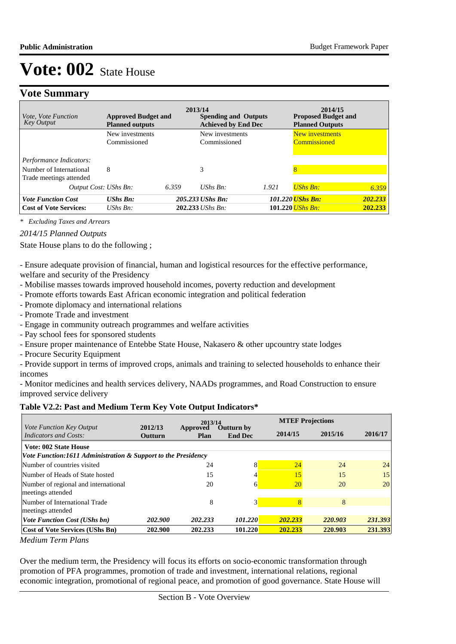# **Vote Summary**

| <i>Vote, Vote Function</i><br><b>Key Output</b>    | <b>Approved Budget and</b><br><b>Planned outputs</b> | 2013/14 | <b>Spending and Outputs</b><br><b>Achieved by End Dec</b> |       | 2014/15<br><b>Proposed Budget and</b><br><b>Planned Outputs</b> |         |
|----------------------------------------------------|------------------------------------------------------|---------|-----------------------------------------------------------|-------|-----------------------------------------------------------------|---------|
|                                                    | New investments<br>Commissioned                      |         | New investments<br>Commissioned                           |       | New investments<br>Commissioned                                 |         |
| Performance Indicators:                            |                                                      |         |                                                           |       |                                                                 |         |
| Number of International<br>Trade meetings attended | 8                                                    |         | 3                                                         |       | $\overline{8}$                                                  |         |
| Output Cost: UShs Bn:                              |                                                      | 6.359   | UShs $Bn$ :                                               | 1.921 | <b>UShs Bn:</b>                                                 | 6.359   |
| <b>Vote Function Cost</b>                          | $UShs$ $Bn$ :                                        |         | 205.233 UShs Bn:                                          |       | 101.220 <i>UShs Bn:</i>                                         | 202.233 |
| <b>Cost of Vote Services:</b>                      | UShs $Bn$ :                                          |         | $202.233$ UShs Bn:                                        |       | 101.220 <i>UShs Bn:</i>                                         | 202.233 |

*\* Excluding Taxes and Arrears*

## *2014/15 Planned Outputs*

State House plans to do the following ;

- Ensure adequate provision of financial, human and logistical resources for the effective performance, welfare and security of the Presidency

- Mobilise masses towards improved household incomes, poverty reduction and development
- Promote efforts towards East African economic integration and political federation
- Promote diplomacy and international relations
- Promote Trade and investment
- Engage in community outreach programmes and welfare activities
- Pay school fees for sponsored students
- Ensure proper maintenance of Entebbe State House, Nakasero & other upcountry state lodges
- Procure Security Equipment

- Provide support in terms of improved crops, animals and training to selected households to enhance their incomes

- Monitor medicines and health services delivery, NAADs programmes, and Road Construction to ensure improved service delivery

#### **Table V2.2: Past and Medium Term Key Vote Output Indicators\***

|                                                           |                                                               |                         | 2013/14                             |           | <b>MTEF Projections</b> |         |  |  |  |  |  |  |
|-----------------------------------------------------------|---------------------------------------------------------------|-------------------------|-------------------------------------|-----------|-------------------------|---------|--|--|--|--|--|--|
| Vote Function Key Output<br><b>Indicators and Costs:</b>  | 2012/13<br>Outturn                                            | Approved<br><b>Plan</b> | <b>Outturn by</b><br><b>End Dec</b> | 2014/15   | 2015/16                 | 2016/17 |  |  |  |  |  |  |
| <b>Vote: 002 State House</b>                              |                                                               |                         |                                     |           |                         |         |  |  |  |  |  |  |
|                                                           | Vote Function:1611 Administration & Support to the Presidency |                         |                                     |           |                         |         |  |  |  |  |  |  |
| Number of countries visited                               |                                                               | 24                      | 8                                   | 24        | 24                      | 24      |  |  |  |  |  |  |
| Number of Heads of State hosted                           |                                                               | 15                      |                                     | 15        | 15                      | 15      |  |  |  |  |  |  |
| Number of regional and international<br>meetings attended |                                                               | 20                      | 6                                   | <b>20</b> | 20                      | 20      |  |  |  |  |  |  |
| Number of International Trade<br>meetings attended        |                                                               | 8                       | 3                                   |           | 8                       |         |  |  |  |  |  |  |
| <b>Vote Function Cost (UShs bn)</b>                       | 202,900                                                       | 202.233                 | 101.220                             | 202.233   | 220.903                 | 231.393 |  |  |  |  |  |  |
| Cost of Vote Services (UShs Bn)                           | 202.900                                                       | 202.233                 | 101.220                             | 202.233   | 220.903                 | 231.393 |  |  |  |  |  |  |

*Medium Term Plans*

Over the medium term, the Presidency will focus its efforts on socio-economic transformation through promotion of PFA programmes, promotion of trade and investment, international relations, regional economic integration, promotional of regional peace, and promotion of good governance. State House will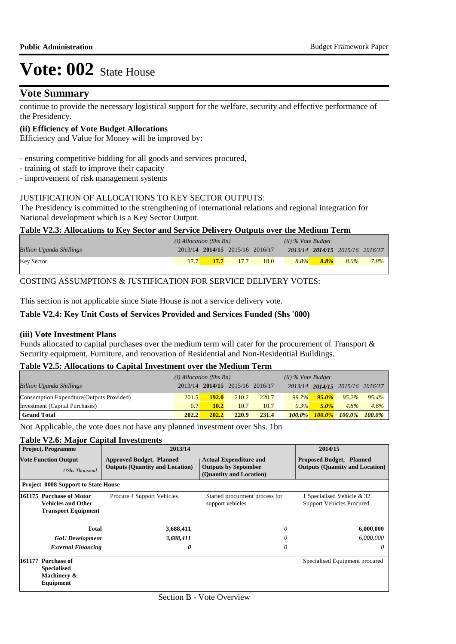## **Vote Summary**

continue to provide the necessary logistical support for the welfare, security and effective performance of the Presidency.

#### **(ii) Efficiency of Vote Budget Allocations**

Efficiency and Value for Money will be improved by:

- ensuring competitive bidding for all goods and services procured,
- training of staff to improve their capacity
- improvement of risk management systems

#### JUSTIFICATION OF ALLOCATIONS TO KEY SECTOR OUTPUTS:

The Presidency is committed to the strengthening of international relations and regional integration for National development which is a Key Sector Output.

#### **Table V2.3: Allocations to Key Sector and Service Delivery Outputs over the Medium Term**

|                                 | $(i)$ Allocation (Shs Bn) |                                 |      | $(ii)$ % Vote Budget |         |         |                                 |         |
|---------------------------------|---------------------------|---------------------------------|------|----------------------|---------|---------|---------------------------------|---------|
| <b>Billion Uganda Shillings</b> |                           | 2013/14 2014/15 2015/16 2016/17 |      |                      |         |         | 2013/14 2014/15 2015/16 2016/17 |         |
| <b>Key Sector</b>               | 17.7                      | <b>17.7</b>                     | 17.7 | 18.0                 | $8.8\%$ | $8.8\%$ | $8.0\%$                         | $7.8\%$ |

## COSTING ASSUMPTIONS & JUSTIFICATION FOR SERVICE DELIVERY VOTES:

This section is not applicable since State House is not a service delivery vote.

#### **Table V2.4: Key Unit Costs of Services Provided and Services Funded (Shs '000)**

#### **(iii) Vote Investment Plans**

Funds allocated to capital purchases over the medium term will cater for the procurement of Transport & Security equipment, Furniture, and renovation of Residential and Non-Residential Buildings.

#### **Table V2.5: Allocations to Capital Investment over the Medium Term**

|                                           | $(i)$ Allocation (Shs Bn) |       |                                 | $(ii)$ % Vote Budget |               |          |                                 |           |
|-------------------------------------------|---------------------------|-------|---------------------------------|----------------------|---------------|----------|---------------------------------|-----------|
| <b>Billion Uganda Shillings</b>           |                           |       | 2013/14 2014/15 2015/16 2016/17 |                      |               |          | 2013/14 2014/15 2015/16 2016/17 |           |
| Consumption Expendture (Outputs Provided) | 201.5                     | 192.0 | 210.2                           | 220.7                | 99.7%         | $95.0\%$ | $95.2\%$                        | $95.4\%$  |
| Investment (Capital Purchases)            | 0.7                       | 10.2  | 10.7                            | 10.7                 | 0.3%          | $5.0\%$  | $4.8\%$                         | 4.6%      |
| <b>Grand Total</b>                        | 202.2                     | 202.2 | 220.9                           | 231.4                | <b>100.0%</b> |          | $100.0\%$ $100.0\%$             | $100.0\%$ |

Not Applicable, the vote does not have any planned investment over Shs. 1bn

#### **Table V2.6: Major Capital Investments**

|        | <b>Project, Programme</b>                                                           | 2013/14                                                                   | 2014/15                                                                                 |                                                                           |
|--------|-------------------------------------------------------------------------------------|---------------------------------------------------------------------------|-----------------------------------------------------------------------------------------|---------------------------------------------------------------------------|
|        | <b>Vote Function Output</b><br><b>UShs Thousand</b>                                 | <b>Approved Budget, Planned</b><br><b>Outputs (Quantity and Location)</b> | <b>Actual Expenditure and</b><br><b>Outputs by September</b><br>(Quantity and Location) | <b>Proposed Budget, Planned</b><br><b>Outputs (Quantity and Location)</b> |
|        | <b>Project 0008 Support to State House</b>                                          |                                                                           |                                                                                         |                                                                           |
|        | 161175 Purchase of Motor<br><b>Vehicles and Other</b><br><b>Transport Equipment</b> | Procure 4 Support Vehicles                                                | Started procurment process for<br>support vehicles                                      | 1 Specialised Vehicle & 32<br><b>Support Vehicles Procured</b>            |
|        | Total                                                                               | 3,688,411                                                                 | 0                                                                                       | 6,000,000                                                                 |
|        | <b>GoU</b> Development                                                              | 3,688,411                                                                 | 0                                                                                       | 6,000,000                                                                 |
|        | <b>External Financing</b>                                                           | 0                                                                         | 0                                                                                       | 0                                                                         |
| 161177 | <b>Purchase of</b><br><b>Specialised</b><br>Machinery &<br>Equipment                |                                                                           |                                                                                         | Specialised Equipment procured                                            |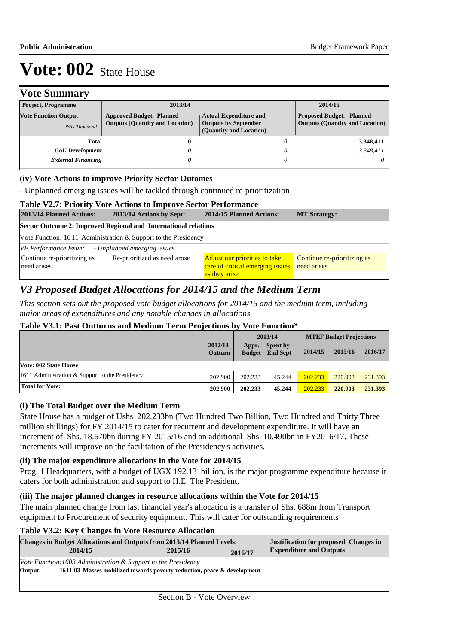# **Vote Summary**

| <b>Project, Programme</b>                           | 2013/14                                                                   |                                                                                         | 2014/15                                                                   |
|-----------------------------------------------------|---------------------------------------------------------------------------|-----------------------------------------------------------------------------------------|---------------------------------------------------------------------------|
| <b>Vote Function Output</b><br><b>UShs Thousand</b> | <b>Approved Budget, Planned</b><br><b>Outputs (Quantity and Location)</b> | <b>Actual Expenditure and</b><br><b>Outputs by September</b><br>(Quantity and Location) | <b>Proposed Budget, Planned</b><br><b>Outputs (Quantity and Location)</b> |
| Total                                               | 0                                                                         |                                                                                         | 3,348,411                                                                 |
| <b>GoU</b> Development                              | 0                                                                         |                                                                                         | 3.348.411                                                                 |
| <b>External Financing</b>                           | 0                                                                         |                                                                                         |                                                                           |

## **(iv) Vote Actions to improve Priority Sector Outomes**

- Unplanned emerging issues will be tackled through continued re-prioritization

#### **Table V2.7: Priority Vote Actions to Improve Sector Performance**

| 2013/14 Planned Actions:<br>2013/14 Actions by Sept:                       | 2014/15 Planned Actions:                                                                  | <b>MT Strategy:</b>                        |  |  |  |  |  |  |
|----------------------------------------------------------------------------|-------------------------------------------------------------------------------------------|--------------------------------------------|--|--|--|--|--|--|
| Sector Outcome 2: Improved Regional and International relations            |                                                                                           |                                            |  |  |  |  |  |  |
| Vote Function: $1611$ Administration & Support to the Presidency           |                                                                                           |                                            |  |  |  |  |  |  |
| VF Performance Issue: - Unplanned emerging issues                          |                                                                                           |                                            |  |  |  |  |  |  |
| Continue re-prioritizing as<br>Re-prioritized as need arose<br>need arises | <b>Adjust our priorities to take</b><br>care of critical emerging issues<br>as they arise | Continue re-prioritizing as<br>need arises |  |  |  |  |  |  |

# *V3 Proposed Budget Allocations for 2014/15 and the Medium Term*

*This section sets out the proposed vote budget allocations for 2014/15 and the medium term, including major areas of expenditures and any notable changes in allocations.* 

## **Table V3.1: Past Outturns and Medium Term Projections by Vote Function\***

|                                                   |                           |                        | 2013/14                     | <b>MTEF Budget Projections</b> |         |         |
|---------------------------------------------------|---------------------------|------------------------|-----------------------------|--------------------------------|---------|---------|
|                                                   | 2012/13<br><b>Outturn</b> | Appr.<br><b>Budget</b> | Spent by<br><b>End Sept</b> | 2014/15                        | 2015/16 | 2016/17 |
| Vote: 002 State House                             |                           |                        |                             |                                |         |         |
| 1611 Administration $&$ Support to the Presidency | 202.900                   | 202.233                | 45.244                      | 202.233                        | 220.903 | 231.393 |
| <b>Total for Vote:</b>                            | 202.900                   | 202.233                | 45.244                      | 202.233                        | 220.903 | 231.393 |

## **(i) The Total Budget over the Medium Term**

State House has a budget of Ushs 202.233bn (Two Hundred Two Billion, Two Hundred and Thirty Three million shillings) for FY 2014/15 to cater for recurrent and development expenditure. It will have an increment of Shs. 18.670bn during FY 2015/16 and an additional Shs. 10.490bn in FY2016/17. These increments will improve on the facilitation of the Presidency's activities.

## **(ii) The major expenditure allocations in the Vote for 2014/15**

Prog. 1 Headquarters, with a budget of UGX 192.131billion, is the major programme expenditure because it caters for both administration and support to H.E. The President.

## **(iii) The major planned changes in resource allocations within the Vote for 2014/15**

The main planned change from last financial year's allocation is a transfer of Shs. 688m from Transport equipment to Procurement of security equipment. This will cater for outstanding requirements

## **Table V3.2: Key Changes in Vote Resource Allocation**

| <b>Changes in Budget Allocations and Outputs from 2013/14 Planned Levels:</b> |                                                                          |         |         | <b>Justification for proposed Changes in</b> |
|-------------------------------------------------------------------------------|--------------------------------------------------------------------------|---------|---------|----------------------------------------------|
|                                                                               | 2014/15                                                                  | 2015/16 | 2016/17 | <b>Expenditure and Outputs</b>               |
|                                                                               | <i>Vote Function:1603 Administration &amp; Support to the Presidency</i> |         |         |                                              |
| Output:                                                                       | 1611 03 Masses mobilized towards poverty reduction, peace & development  |         |         |                                              |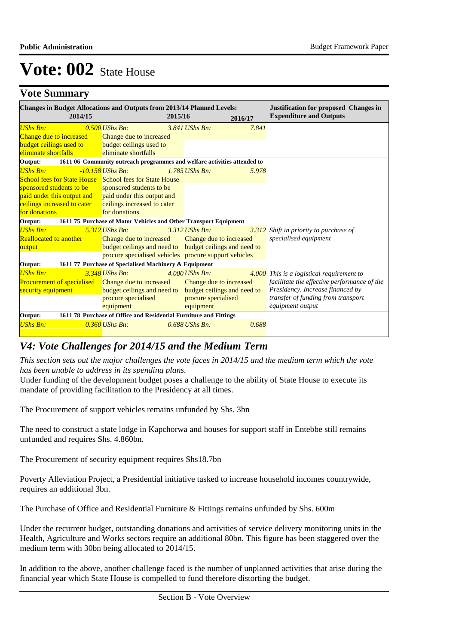# **Vote Summary**

| <b>Changes in Budget Allocations and Outputs from 2013/14 Planned Levels:</b><br><b>Justification for proposed Changes in</b> |                                                                          |                                                         |                             |         |                                             |  |
|-------------------------------------------------------------------------------------------------------------------------------|--------------------------------------------------------------------------|---------------------------------------------------------|-----------------------------|---------|---------------------------------------------|--|
| 2014/15                                                                                                                       |                                                                          | 2015/16                                                 |                             | 2016/17 | <b>Expenditure and Outputs</b>              |  |
| <b>UShs Bn:</b>                                                                                                               | $0.500$ UShs Bn:                                                         |                                                         | 3.841 UShs Bn:              | 7.841   |                                             |  |
| Change due to increased                                                                                                       | Change due to increased                                                  |                                                         |                             |         |                                             |  |
| budget ceilings used to                                                                                                       | budget ceilings used to                                                  |                                                         |                             |         |                                             |  |
| eliminate shortfalls                                                                                                          | eliminate shortfalls                                                     |                                                         |                             |         |                                             |  |
| Output:                                                                                                                       | 1611 06 Community outreach programmes and welfare activities attended to |                                                         |                             |         |                                             |  |
| <b>UShs Bn:</b>                                                                                                               | $-10.158$ UShs Bn:                                                       |                                                         | $1.785$ UShs Bn:            | 5.978   |                                             |  |
| <b>School fees for State House</b> School fees for State House                                                                |                                                                          |                                                         |                             |         |                                             |  |
| sponsored students to be                                                                                                      | sponsored students to be                                                 |                                                         |                             |         |                                             |  |
| paid under this output and paid under this output and                                                                         |                                                                          |                                                         |                             |         |                                             |  |
| ceilings increased to cater                                                                                                   | ceilings increased to cater                                              |                                                         |                             |         |                                             |  |
| for donations                                                                                                                 | for donations                                                            |                                                         |                             |         |                                             |  |
| Output:                                                                                                                       | 1611 75 Purchase of Motor Vehicles and Other Transport Equipment         |                                                         |                             |         |                                             |  |
| <b>UShs Bn:</b>                                                                                                               | $5.312$ UShs Bn:                                                         |                                                         | $3.312$ UShs Bn:            |         | 3.312 Shift in priority to purchase of      |  |
| <b>Reallocated to another</b>                                                                                                 | Change due to increased Change due to increased                          |                                                         |                             |         | specialised equipment                       |  |
| output                                                                                                                        |                                                                          | budget ceilings and need to budget ceilings and need to |                             |         |                                             |  |
|                                                                                                                               | procure specialised vehicles procure support vehicles                    |                                                         |                             |         |                                             |  |
| Output:                                                                                                                       | 1611 77 Purchase of Specialised Machinery & Equipment                    |                                                         |                             |         |                                             |  |
| <b>UShs Bn:</b>                                                                                                               | $3.348$ UShs Bn:                                                         |                                                         | $4.000$ UShs Bn:            |         | 4.000 This is a logistical requirement to   |  |
| <b>Procurement of specialised</b> Change due to increased                                                                     |                                                                          |                                                         | Change due to increased     |         | facilitate the effective performance of the |  |
| security equipment                                                                                                            | budget ceilings and need to                                              |                                                         | budget ceilings and need to |         | Presidency. Increase financed by            |  |
|                                                                                                                               | procure specialised                                                      |                                                         | procure specialised         |         | transfer of funding from transport          |  |
|                                                                                                                               | equipment                                                                |                                                         | equipment                   |         | equipment output                            |  |
| Output:                                                                                                                       | 1611 78 Purchase of Office and Residential Furniture and Fittings        |                                                         |                             |         |                                             |  |
| <b>UShs Bn:</b>                                                                                                               | $0.360$ UShs Bn:                                                         |                                                         | $0.688$ UShs Bn:            | 0.688   |                                             |  |
|                                                                                                                               |                                                                          |                                                         |                             |         |                                             |  |

# *V4: Vote Challenges for 2014/15 and the Medium Term*

*This section sets out the major challenges the vote faces in 2014/15 and the medium term which the vote has been unable to address in its spending plans.*

Under funding of the development budget poses a challenge to the ability of State House to execute its mandate of providing facilitation to the Presidency at all times.

The Procurement of support vehicles remains unfunded by Shs. 3bn

The need to construct a state lodge in Kapchorwa and houses for support staff in Entebbe still remains unfunded and requires Shs. 4.860bn.

The Procurement of security equipment requires Shs18.7bn

Poverty Alleviation Project, a Presidential initiative tasked to increase household incomes countrywide, requires an additional 3bn.

The Purchase of Office and Residential Furniture & Fittings remains unfunded by Shs. 600m

Under the recurrent budget, outstanding donations and activities of service delivery monitoring units in the Health, Agriculture and Works sectors require an additional 80bn. This figure has been staggered over the medium term with 30bn being allocated to 2014/15.

In addition to the above, another challenge faced is the number of unplanned activities that arise during the financial year which State House is compelled to fund therefore distorting the budget.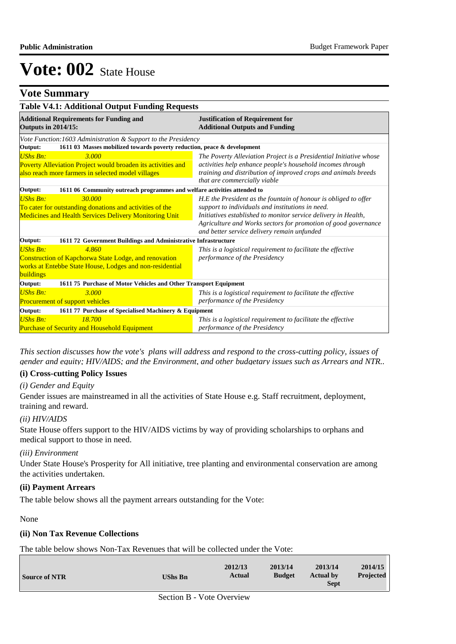# **Vote Summary**

| <b>Table V4.1: Additional Output Funding Requests</b>                                                                                                      |                                                                                                                                                                                                                                                                                                        |  |  |  |  |
|------------------------------------------------------------------------------------------------------------------------------------------------------------|--------------------------------------------------------------------------------------------------------------------------------------------------------------------------------------------------------------------------------------------------------------------------------------------------------|--|--|--|--|
| <b>Additional Requirements for Funding and</b><br><b>Outputs in 2014/15:</b>                                                                               | <b>Justification of Requirement for</b><br><b>Additional Outputs and Funding</b>                                                                                                                                                                                                                       |  |  |  |  |
| Vote Function: 1603 Administration & Support to the Presidency                                                                                             |                                                                                                                                                                                                                                                                                                        |  |  |  |  |
| 1611 03 Masses mobilized towards poverty reduction, peace & development<br>Output:                                                                         |                                                                                                                                                                                                                                                                                                        |  |  |  |  |
| <b>UShs Bn:</b><br>3.000<br>Poverty Alleviation Project would broaden its activities and<br>also reach more farmers in selected model villages             | The Poverty Alleviation Project is a Presidential Initiative whose<br>activities help enhance people's household incomes through<br>training and distribution of improved crops and animals breeds<br>that are commercially viable                                                                     |  |  |  |  |
| 1611 06 Community outreach programmes and welfare activities attended to<br>Output:                                                                        |                                                                                                                                                                                                                                                                                                        |  |  |  |  |
| <b>UShs Bn:</b><br>30.000<br>To cater for outstanding donations and activities of the<br><b>Medicines and Health Services Delivery Monitoring Unit</b>     | H.E the President as the fountain of honour is obliged to offer<br>support to individuals and institutions in need.<br>Initiatives established to monitor service delivery in Health,<br>Agriculture and Works sectors for promotion of good governance<br>and better service delivery remain unfunded |  |  |  |  |
| 1611 72 Government Buildings and Administrative Infrastructure<br>Output:                                                                                  |                                                                                                                                                                                                                                                                                                        |  |  |  |  |
| <b>UShs Bn:</b><br>4.860<br>Construction of Kapchorwa State Lodge, and renovation<br>works at Entebbe State House, Lodges and non-residential<br>buildings | This is a logistical requirement to facilitate the effective<br>performance of the Presidency                                                                                                                                                                                                          |  |  |  |  |
| Output:<br>1611 75 Purchase of Motor Vehicles and Other Transport Equipment                                                                                |                                                                                                                                                                                                                                                                                                        |  |  |  |  |
| $UShs Bn:$<br>3.000<br>Procurement of support vehicles                                                                                                     | This is a logistical requirement to facilitate the effective<br>performance of the Presidency                                                                                                                                                                                                          |  |  |  |  |
| 1611 77 Purchase of Specialised Machinery & Equipment<br>Output:                                                                                           |                                                                                                                                                                                                                                                                                                        |  |  |  |  |
| <b>UShs Bn:</b><br>18.700<br><b>Purchase of Security and Household Equipment</b>                                                                           | This is a logistical requirement to facilitate the effective<br>performance of the Presidency                                                                                                                                                                                                          |  |  |  |  |

*This section discusses how the vote's plans will address and respond to the cross-cutting policy, issues of gender and equity; HIV/AIDS; and the Environment, and other budgetary issues such as Arrears and NTR..* 

## **(i) Cross-cutting Policy Issues**

#### *(i) Gender and Equity*

Gender issues are mainstreamed in all the activities of State House e.g. Staff recruitment, deployment, training and reward.

#### *(ii) HIV/AIDS*

State House offers support to the HIV/AIDS victims by way of providing scholarships to orphans and medical support to those in need.

#### *(iii) Environment*

Under State House's Prosperity for All initiative, tree planting and environmental conservation are among the activities undertaken.

## **(ii) Payment Arrears**

The table below shows all the payment arrears outstanding for the Vote:

#### None

## **(ii) Non Tax Revenue Collections**

The table below shows Non-Tax Revenues that will be collected under the Vote:

| <b>Source of NTR</b> | <b>UShs Bn</b> | 2012/13<br>Actual | 2013/14<br><b>Budget</b> | 2013/14<br><b>Actual by</b><br><b>Sept</b> | 2014/15<br><b>Projected</b> |
|----------------------|----------------|-------------------|--------------------------|--------------------------------------------|-----------------------------|
|----------------------|----------------|-------------------|--------------------------|--------------------------------------------|-----------------------------|